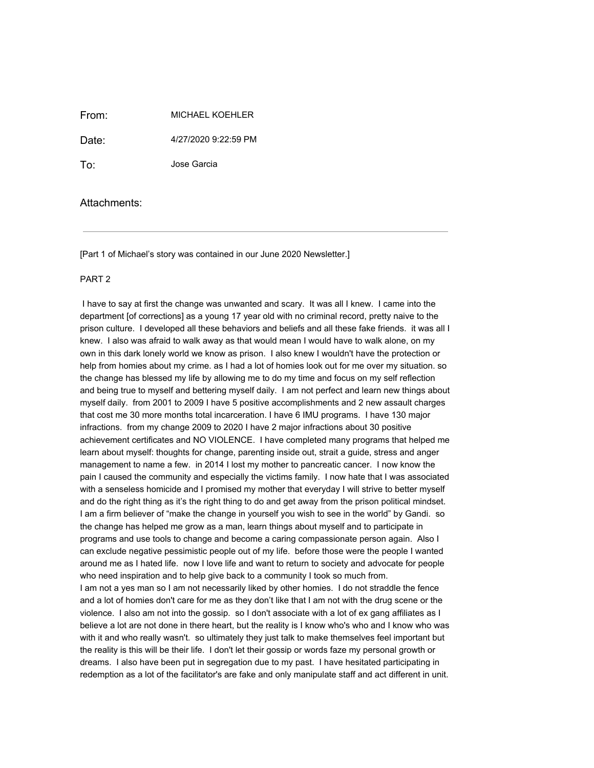From: MICHAEL KOEHLER

Date: 4/27/2020 9:22:59 PM

To: Jose Garcia

Attachments:

[Part 1 of Michael's story was contained in our June 2020 Newsletter.]

## PART 2

 I have to say at first the change was unwanted and scary. It was all I knew. I came into the department [of corrections] as a young 17 year old with no criminal record, pretty naive to the prison culture. I developed all these behaviors and beliefs and all these fake friends. it was all I knew. I also was afraid to walk away as that would mean I would have to walk alone, on my own in this dark lonely world we know as prison. I also knew I wouldn't have the protection or help from homies about my crime. as I had a lot of homies look out for me over my situation. so the change has blessed my life by allowing me to do my time and focus on my self reflection and being true to myself and bettering myself daily. I am not perfect and learn new things about myself daily. from 2001 to 2009 I have 5 positive accomplishments and 2 new assault charges that cost me 30 more months total incarceration. I have 6 IMU programs. I have 130 major infractions. from my change 2009 to 2020 I have 2 major infractions about 30 positive achievement certificates and NO VIOLENCE. I have completed many programs that helped me learn about myself: thoughts for change, parenting inside out, strait a guide, stress and anger management to name a few. in 2014 I lost my mother to pancreatic cancer. I now know the pain I caused the community and especially the victims family. I now hate that I was associated with a senseless homicide and I promised my mother that everyday I will strive to better myself and do the right thing as it's the right thing to do and get away from the prison political mindset. I am a firm believer of "make the change in yourself you wish to see in the world" by Gandi. so the change has helped me grow as a man, learn things about myself and to participate in programs and use tools to change and become a caring compassionate person again. Also I can exclude negative pessimistic people out of my life. before those were the people I wanted around me as I hated life. now I love life and want to return to society and advocate for people who need inspiration and to help give back to a community I took so much from. I am not a yes man so I am not necessarily liked by other homies. I do not straddle the fence and a lot of homies don't care for me as they don't like that I am not with the drug scene or the violence. I also am not into the gossip. so I don't associate with a lot of ex gang affiliates as I believe a lot are not done in there heart, but the reality is I know who's who and I know who was with it and who really wasn't. so ultimately they just talk to make themselves feel important but the reality is this will be their life. I don't let their gossip or words faze my personal growth or dreams. I also have been put in segregation due to my past. I have hesitated participating in redemption as a lot of the facilitator's are fake and only manipulate staff and act different in unit.